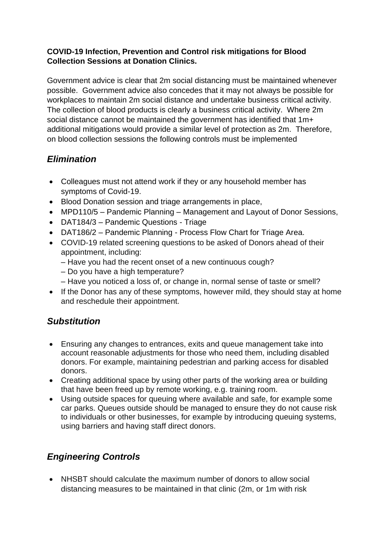#### **COVID-19 Infection, Prevention and Control risk mitigations for Blood Collection Sessions at Donation Clinics.**

Government advice is clear that 2m social distancing must be maintained whenever possible. Government advice also concedes that it may not always be possible for workplaces to maintain 2m social distance and undertake business critical activity. The collection of blood products is clearly a business critical activity. Where 2m social distance cannot be maintained the government has identified that 1m+ additional mitigations would provide a similar level of protection as 2m. Therefore, on blood collection sessions the following controls must be implemented

## *Elimination*

- Colleagues must not attend work if they or any household member has symptoms of Covid-19.
- Blood Donation session and triage arrangements in place,
- MPD110/5 Pandemic Planning Management and Layout of Donor Sessions,
- DAT184/3 Pandemic Questions Triage
- DAT186/2 Pandemic Planning Process Flow Chart for Triage Area.
- COVID-19 related screening questions to be asked of Donors ahead of their appointment, including:
	- Have you had the recent onset of a new continuous cough?
	- Do you have a high temperature?
	- Have you noticed a loss of, or change in, normal sense of taste or smell?
- If the Donor has any of these symptoms, however mild, they should stay at home and reschedule their appointment.

## *Substitution*

- Ensuring any changes to entrances, exits and queue management take into account reasonable adjustments for those who need them, including disabled donors. For example, maintaining pedestrian and parking access for disabled donors.
- Creating additional space by using other parts of the working area or building that have been freed up by remote working, e.g. training room.
- Using outside spaces for queuing where available and safe, for example some car parks. Queues outside should be managed to ensure they do not cause risk to individuals or other businesses, for example by introducing queuing systems, using barriers and having staff direct donors.

# *Engineering Controls*

• NHSBT should calculate the maximum number of donors to allow social distancing measures to be maintained in that clinic (2m, or 1m with risk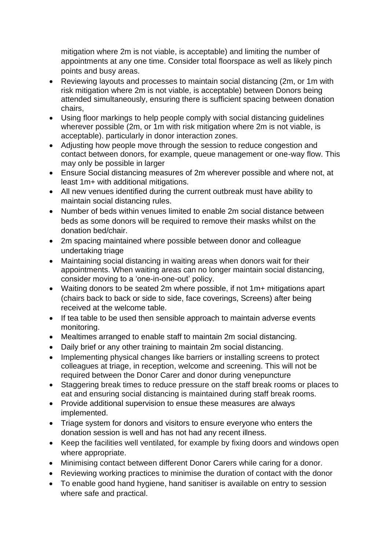mitigation where 2m is not viable, is acceptable) and limiting the number of appointments at any one time. Consider total floorspace as well as likely pinch points and busy areas.

- Reviewing layouts and processes to maintain social distancing (2m, or 1m with risk mitigation where 2m is not viable, is acceptable) between Donors being attended simultaneously, ensuring there is sufficient spacing between donation chairs,
- Using floor markings to help people comply with social distancing guidelines wherever possible (2m, or 1m with risk mitigation where 2m is not viable, is acceptable). particularly in donor interaction zones.
- Adjusting how people move through the session to reduce congestion and contact between donors, for example, queue management or one-way flow. This may only be possible in larger
- Ensure Social distancing measures of 2m wherever possible and where not, at least 1m+ with additional mitigations.
- All new venues identified during the current outbreak must have ability to maintain social distancing rules.
- Number of beds within venues limited to enable 2m social distance between beds as some donors will be required to remove their masks whilst on the donation bed/chair.
- 2m spacing maintained where possible between donor and colleague undertaking triage
- Maintaining social distancing in waiting areas when donors wait for their appointments. When waiting areas can no longer maintain social distancing, consider moving to a 'one-in-one-out' policy.
- Waiting donors to be seated 2m where possible, if not 1m+ mitigations apart (chairs back to back or side to side, face coverings, Screens) after being received at the welcome table.
- If tea table to be used then sensible approach to maintain adverse events monitoring.
- Mealtimes arranged to enable staff to maintain 2m social distancing.
- Daily brief or any other training to maintain 2m social distancing.
- Implementing physical changes like barriers or installing screens to protect colleagues at triage, in reception, welcome and screening. This will not be required between the Donor Carer and donor during venepuncture
- Staggering break times to reduce pressure on the staff break rooms or places to eat and ensuring social distancing is maintained during staff break rooms.
- Provide additional supervision to ensue these measures are always implemented.
- Triage system for donors and visitors to ensure everyone who enters the donation session is well and has not had any recent illness.
- Keep the facilities well ventilated, for example by fixing doors and windows open where appropriate.
- Minimising contact between different Donor Carers while caring for a donor.
- Reviewing working practices to minimise the duration of contact with the donor
- To enable good hand hygiene, hand sanitiser is available on entry to session where safe and practical.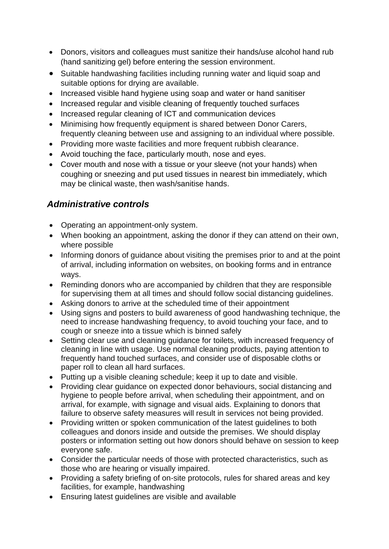- Donors, visitors and colleagues must sanitize their hands/use alcohol hand rub (hand sanitizing gel) before entering the session environment.
- Suitable handwashing facilities including running water and liquid soap and suitable options for drying are available.
- Increased visible hand hygiene using soap and water or hand sanitiser
- Increased regular and visible cleaning of frequently touched surfaces
- Increased regular cleaning of ICT and communication devices
- Minimising how frequently equipment is shared between Donor Carers, frequently cleaning between use and assigning to an individual where possible.
- Providing more waste facilities and more frequent rubbish clearance.
- Avoid touching the face, particularly mouth, nose and eyes.
- Cover mouth and nose with a tissue or your sleeve (not your hands) when coughing or sneezing and put used tissues in nearest bin immediately, which may be clinical waste, then wash/sanitise hands.

## *Administrative controls*

- Operating an appointment-only system.
- When booking an appointment, asking the donor if they can attend on their own, where possible
- Informing donors of guidance about visiting the premises prior to and at the point of arrival, including information on websites, on booking forms and in entrance ways.
- Reminding donors who are accompanied by children that they are responsible for supervising them at all times and should follow social distancing guidelines.
- Asking donors to arrive at the scheduled time of their appointment
- Using signs and posters to build awareness of good handwashing technique, the need to increase handwashing frequency, to avoid touching your face, and to cough or sneeze into a tissue which is binned safely
- Setting clear use and cleaning guidance for toilets, with increased frequency of cleaning in line with usage. Use normal cleaning products, paying attention to frequently hand touched surfaces, and consider use of disposable cloths or paper roll to clean all hard surfaces.
- Putting up a visible cleaning schedule; keep it up to date and visible.
- Providing clear guidance on expected donor behaviours, social distancing and hygiene to people before arrival, when scheduling their appointment, and on arrival, for example, with signage and visual aids. Explaining to donors that failure to observe safety measures will result in services not being provided.
- Providing written or spoken communication of the latest guidelines to both colleagues and donors inside and outside the premises. We should display posters or information setting out how donors should behave on session to keep everyone safe.
- Consider the particular needs of those with protected characteristics, such as those who are hearing or visually impaired.
- Providing a safety briefing of on-site protocols, rules for shared areas and key facilities, for example, handwashing
- Ensuring latest guidelines are visible and available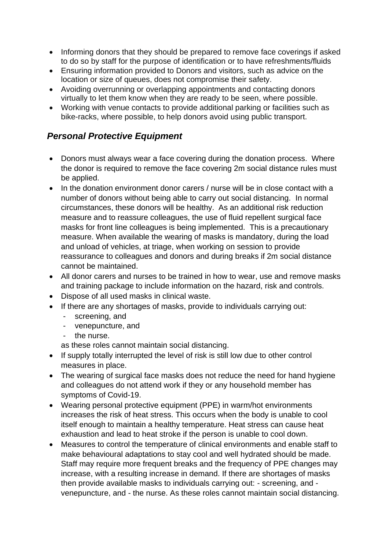- Informing donors that they should be prepared to remove face coverings if asked to do so by staff for the purpose of identification or to have refreshments/fluids
- Ensuring information provided to Donors and visitors, such as advice on the location or size of queues, does not compromise their safety.
- Avoiding overrunning or overlapping appointments and contacting donors virtually to let them know when they are ready to be seen, where possible.
- Working with venue contacts to provide additional parking or facilities such as bike-racks, where possible, to help donors avoid using public transport.

### *Personal Protective Equipment*

- Donors must always wear a face covering during the donation process. Where the donor is required to remove the face covering 2m social distance rules must be applied.
- In the donation environment donor carers / nurse will be in close contact with a number of donors without being able to carry out social distancing. In normal circumstances, these donors will be healthy. As an additional risk reduction measure and to reassure colleagues, the use of fluid repellent surgical face masks for front line colleagues is being implemented. This is a precautionary measure. When available the wearing of masks is mandatory, during the load and unload of vehicles, at triage, when working on session to provide reassurance to colleagues and donors and during breaks if 2m social distance cannot be maintained.
- All donor carers and nurses to be trained in how to wear, use and remove masks and training package to include information on the hazard, risk and controls.
- Dispose of all used masks in clinical waste.
- If there are any shortages of masks, provide to individuals carrying out:
	- screening, and
	- venepuncture, and
	- the nurse.

as these roles cannot maintain social distancing.

- If supply totally interrupted the level of risk is still low due to other control measures in place.
- The wearing of surgical face masks does not reduce the need for hand hygiene and colleagues do not attend work if they or any household member has symptoms of Covid-19.
- Wearing personal protective equipment (PPE) in warm/hot environments increases the risk of heat stress. This occurs when the body is unable to cool itself enough to maintain a healthy temperature. Heat stress can cause heat exhaustion and lead to heat stroke if the person is unable to cool down.
- Measures to control the temperature of clinical environments and enable staff to make behavioural adaptations to stay cool and well hydrated should be made. Staff may require more frequent breaks and the frequency of PPE changes may increase, with a resulting increase in demand. If there are shortages of masks then provide available masks to individuals carrying out: - screening, and venepuncture, and - the nurse. As these roles cannot maintain social distancing.